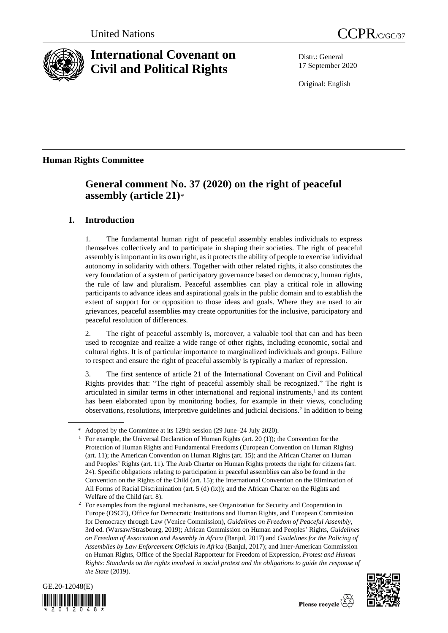

# **International Covenant on Civil and Political Rights**

Distr.: General 17 September 2020

Original: English

## **Human Rights Committee**

# **General comment No. 37 (2020) on the right of peaceful assembly (article 21)**\*

### **I. Introduction**

1. The fundamental human right of peaceful assembly enables individuals to express themselves collectively and to participate in shaping their societies. The right of peaceful assembly is important in its own right, as it protects the ability of people to exercise individual autonomy in solidarity with others. Together with other related rights, it also constitutes the very foundation of a system of participatory governance based on democracy, human rights, the rule of law and pluralism. Peaceful assemblies can play a critical role in allowing participants to advance ideas and aspirational goals in the public domain and to establish the extent of support for or opposition to those ideas and goals. Where they are used to air grievances, peaceful assemblies may create opportunities for the inclusive, participatory and peaceful resolution of differences.

2. The right of peaceful assembly is, moreover, a valuable tool that can and has been used to recognize and realize a wide range of other rights, including economic, social and cultural rights. It is of particular importance to marginalized individuals and groups. Failure to respect and ensure the right of peaceful assembly is typically a marker of repression.

3. The first sentence of article 21 of the International Covenant on Civil and Political Rights provides that: "The right of peaceful assembly shall be recognized." The right is articulated in similar terms in other international and regional instruments, <sup>1</sup> and its content has been elaborated upon by monitoring bodies, for example in their views, concluding observations, resolutions, interpretive guidelines and judicial decisions.<sup>2</sup> In addition to being

<sup>&</sup>lt;sup>2</sup> For examples from the regional mechanisms, see Organization for Security and Cooperation in Europe (OSCE), Office for Democratic Institutions and Human Rights, and European Commission for Democracy through Law (Venice Commission), *Guidelines on Freedom of Peaceful Assembly*, 3rd ed. (Warsaw/Strasbourg, 2019); African Commission on Human and Peoples' Rights, *Guidelines on Freedom of Association and Assembly in Africa* (Banjul, 2017) and *Guidelines for the Policing of Assemblies by Law Enforcement Officials in Africa* (Banjul, 2017); and Inter-American Commission on Human Rights, Office of the Special Rapporteur for Freedom of Expression, *Protest and Human Rights: Standards on the rights involved in social protest and the obligations to guide the response of the State* (2019).





<sup>\*</sup> Adopted by the Committee at its 129th session (29 June–24 July 2020).

<sup>1</sup> For example, the Universal Declaration of Human Rights (art. 20 (1)); the Convention for the Protection of Human Rights and Fundamental Freedoms (European Convention on Human Rights) (art. 11); the American Convention on Human Rights (art. 15); and the African Charter on Human and Peoples' Rights (art. 11). The Arab Charter on Human Rights protects the right for citizens (art. 24). Specific obligations relating to participation in peaceful assemblies can also be found in the Convention on the Rights of the Child (art. 15); the International Convention on the Elimination of All Forms of Racial Discrimination (art. 5 (d) (ix)); and the African Charter on the Rights and Welfare of the Child (art. 8).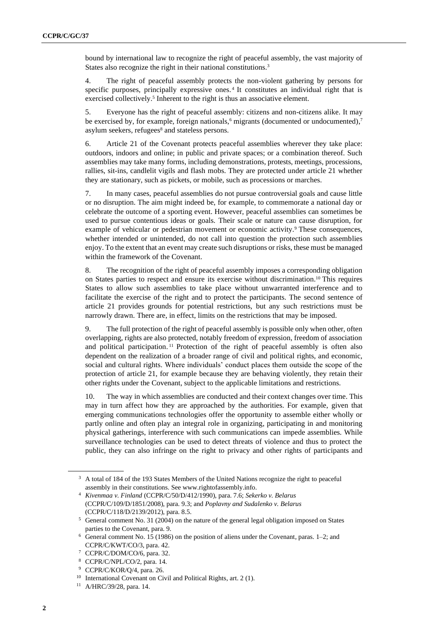bound by international law to recognize the right of peaceful assembly, the vast majority of States also recognize the right in their national constitutions.<sup>3</sup>

4. The right of peaceful assembly protects the non-violent gathering by persons for specific purposes, principally expressive ones. 4 It constitutes an individual right that is exercised collectively.<sup>5</sup> Inherent to the right is thus an associative element.

5. Everyone has the right of peaceful assembly: citizens and non-citizens alike. It may be exercised by, for example, foreign nationals,  $\delta$  migrants (documented or undocumented),<sup>7</sup> asylum seekers, refugees<sup>8</sup> and stateless persons.

6. Article 21 of the Covenant protects peaceful assemblies wherever they take place: outdoors, indoors and online; in public and private spaces; or a combination thereof. Such assemblies may take many forms, including demonstrations, protests, meetings, processions, rallies, sit-ins, candlelit vigils and flash mobs. They are protected under article 21 whether they are stationary, such as pickets, or mobile, such as processions or marches.

7. In many cases, peaceful assemblies do not pursue controversial goals and cause little or no disruption. The aim might indeed be, for example, to commemorate a national day or celebrate the outcome of a sporting event. However, peaceful assemblies can sometimes be used to pursue contentious ideas or goals. Their scale or nature can cause disruption, for example of vehicular or pedestrian movement or economic activity.<sup>9</sup> These consequences, whether intended or unintended, do not call into question the protection such assemblies enjoy. To the extent that an event may create such disruptions or risks, these must be managed within the framework of the Covenant.

8. The recognition of the right of peaceful assembly imposes a corresponding obligation on States parties to respect and ensure its exercise without discrimination. <sup>10</sup> This requires States to allow such assemblies to take place without unwarranted interference and to facilitate the exercise of the right and to protect the participants. The second sentence of article 21 provides grounds for potential restrictions, but any such restrictions must be narrowly drawn. There are, in effect, limits on the restrictions that may be imposed.

9. The full protection of the right of peaceful assembly is possible only when other, often overlapping, rights are also protected, notably freedom of expression, freedom of association and political participation. <sup>11</sup> Protection of the right of peaceful assembly is often also dependent on the realization of a broader range of civil and political rights, and economic, social and cultural rights. Where individuals' conduct places them outside the scope of the protection of article 21, for example because they are behaving violently, they retain their other rights under the Covenant, subject to the applicable limitations and restrictions.

10. The way in which assemblies are conducted and their context changes over time. This may in turn affect how they are approached by the authorities. For example, given that emerging communications technologies offer the opportunity to assemble either wholly or partly online and often play an integral role in organizing, participating in and monitoring physical gatherings, interference with such communications can impede assemblies. While surveillance technologies can be used to detect threats of violence and thus to protect the public, they can also infringe on the right to privacy and other rights of participants and

<sup>&</sup>lt;sup>3</sup> A total of 184 of the 193 States Members of the United Nations recognize the right to peaceful assembly in their constitutions. See www.rightofassembly.info.

<sup>4</sup> *Kivenmaa v. Finland* (CCPR/C/50/D/412/1990), para. 7.6; *Sekerko v. Belarus* (CCPR/C/109/D/1851/2008), para. 9.3; and *Poplavny and Sudalenko v. Belarus* (CCPR/C/118/D/2139/2012), para. 8.5.

<sup>5</sup> General comment No. 31 (2004) on the nature of the general legal obligation imposed on States parties to the Covenant, para. 9.

<sup>6</sup> General comment No. 15 (1986) on the position of aliens under the Covenant, paras. 1–2; and CCPR/C/KWT/CO/3, para. 42.

<sup>7</sup> CCPR/C/DOM/CO/6, para. 32.

<sup>8</sup> CCPR/C/NPL/CO/2, para. 14.

<sup>9</sup> CCPR/C/KOR/Q/4, para. 26.

<sup>10</sup> International Covenant on Civil and Political Rights, art. 2 (1).

<sup>11</sup> A/HRC/39/28, para. 14.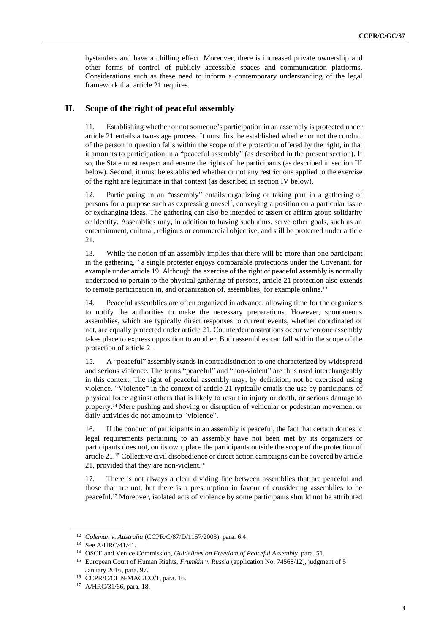bystanders and have a chilling effect. Moreover, there is increased private ownership and other forms of control of publicly accessible spaces and communication platforms. Considerations such as these need to inform a contemporary understanding of the legal framework that article 21 requires.

#### **II. Scope of the right of peaceful assembly**

11. Establishing whether or not someone's participation in an assembly is protected under article 21 entails a two-stage process. It must first be established whether or not the conduct of the person in question falls within the scope of the protection offered by the right, in that it amounts to participation in a "peaceful assembly" (as described in the present section). If so, the State must respect and ensure the rights of the participants (as described in section III below). Second, it must be established whether or not any restrictions applied to the exercise of the right are legitimate in that context (as described in section IV below).

12. Participating in an "assembly" entails organizing or taking part in a gathering of persons for a purpose such as expressing oneself, conveying a position on a particular issue or exchanging ideas. The gathering can also be intended to assert or affirm group solidarity or identity. Assemblies may, in addition to having such aims, serve other goals, such as an entertainment, cultural, religious or commercial objective, and still be protected under article 21.

13. While the notion of an assembly implies that there will be more than one participant in the gathering,<sup>12</sup> a single protester enjoys comparable protections under the Covenant, for example under article 19. Although the exercise of the right of peaceful assembly is normally understood to pertain to the physical gathering of persons, article 21 protection also extends to remote participation in, and organization of, assemblies, for example online.<sup>13</sup>

14. Peaceful assemblies are often organized in advance, allowing time for the organizers to notify the authorities to make the necessary preparations. However, spontaneous assemblies, which are typically direct responses to current events, whether coordinated or not, are equally protected under article 21. Counterdemonstrations occur when one assembly takes place to express opposition to another. Both assemblies can fall within the scope of the protection of article 21.

15. A "peaceful" assembly stands in contradistinction to one characterized by widespread and serious violence. The terms "peaceful" and "non-violent" are thus used interchangeably in this context. The right of peaceful assembly may, by definition, not be exercised using violence. "Violence" in the context of article 21 typically entails the use by participants of physical force against others that is likely to result in injury or death, or serious damage to property.<sup>14</sup> Mere pushing and shoving or disruption of vehicular or pedestrian movement or daily activities do not amount to "violence".

16. If the conduct of participants in an assembly is peaceful, the fact that certain domestic legal requirements pertaining to an assembly have not been met by its organizers or participants does not, on its own, place the participants outside the scope of the protection of article 21.<sup>15</sup> Collective civil disobedience or direct action campaigns can be covered by article 21, provided that they are non-violent.<sup>16</sup>

17. There is not always a clear dividing line between assemblies that are peaceful and those that are not, but there is a presumption in favour of considering assemblies to be peaceful.<sup>17</sup> Moreover, isolated acts of violence by some participants should not be attributed

<sup>12</sup> *Coleman v. Australia* (CCPR/C/87/D/1157/2003), para. 6.4.

<sup>13</sup> See A/HRC/41/41.

<sup>14</sup> OSCE and Venice Commission, *Guidelines on Freedom of Peaceful Assembly*, para. 51.

<sup>15</sup> European Court of Human Rights, *Frumkin v. Russia* (application No. 74568/12), judgment of 5

January 2016, para. 97. <sup>16</sup> CCPR/C/CHN-MAC/CO/1, para. 16.

<sup>17</sup> A/HRC/31/66, para. 18.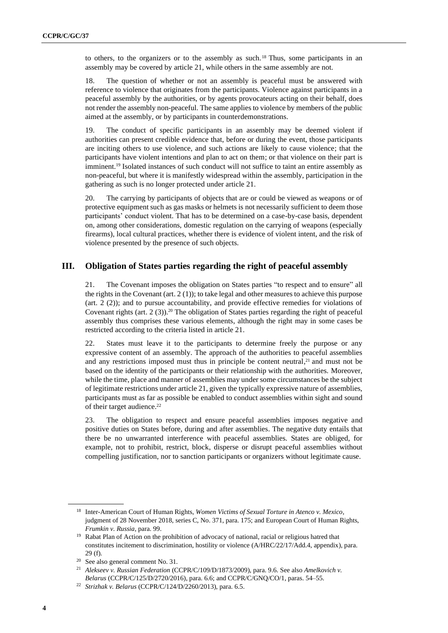to others, to the organizers or to the assembly as such.<sup>18</sup> Thus, some participants in an assembly may be covered by article 21, while others in the same assembly are not.

18. The question of whether or not an assembly is peaceful must be answered with reference to violence that originates from the participants. Violence against participants in a peaceful assembly by the authorities, or by agents provocateurs acting on their behalf, does not render the assembly non-peaceful. The same applies to violence by members of the public aimed at the assembly, or by participants in counterdemonstrations.

19. The conduct of specific participants in an assembly may be deemed violent if authorities can present credible evidence that, before or during the event, those participants are inciting others to use violence, and such actions are likely to cause violence; that the participants have violent intentions and plan to act on them; or that violence on their part is imminent.<sup>19</sup> Isolated instances of such conduct will not suffice to taint an entire assembly as non-peaceful, but where it is manifestly widespread within the assembly, participation in the gathering as such is no longer protected under article 21.

20. The carrying by participants of objects that are or could be viewed as weapons or of protective equipment such as gas masks or helmets is not necessarily sufficient to deem those participants' conduct violent. That has to be determined on a case-by-case basis, dependent on, among other considerations, domestic regulation on the carrying of weapons (especially firearms), local cultural practices, whether there is evidence of violent intent, and the risk of violence presented by the presence of such objects.

#### **III. Obligation of States parties regarding the right of peaceful assembly**

21. The Covenant imposes the obligation on States parties "to respect and to ensure" all the rights in the Covenant (art. 2 (1)); to take legal and other measures to achieve this purpose (art. 2 (2)); and to pursue accountability, and provide effective remedies for violations of Covenant rights (art.  $2(3)$ ).<sup>20</sup> The obligation of States parties regarding the right of peaceful assembly thus comprises these various elements, although the right may in some cases be restricted according to the criteria listed in article 21.

22. States must leave it to the participants to determine freely the purpose or any expressive content of an assembly. The approach of the authorities to peaceful assemblies and any restrictions imposed must thus in principle be content neutral, $2<sup>1</sup>$  and must not be based on the identity of the participants or their relationship with the authorities. Moreover, while the time, place and manner of assemblies may under some circumstances be the subject of legitimate restrictions under article 21, given the typically expressive nature of assemblies, participants must as far as possible be enabled to conduct assemblies within sight and sound of their target audience.<sup>22</sup>

23. The obligation to respect and ensure peaceful assemblies imposes negative and positive duties on States before, during and after assemblies. The negative duty entails that there be no unwarranted interference with peaceful assemblies. States are obliged, for example, not to prohibit, restrict, block, disperse or disrupt peaceful assemblies without compelling justification, nor to sanction participants or organizers without legitimate cause.

<sup>18</sup> Inter-American Court of Human Rights, *Women Victims of Sexual Torture in Atenco v. Mexico*, judgment of 28 November 2018, series C, No. 371, para. 175; and European Court of Human Rights, *Frumkin v. Russia*, para. 99.

<sup>&</sup>lt;sup>19</sup> Rabat Plan of Action on the prohibition of advocacy of national, racial or religious hatred that constitutes incitement to discrimination, hostility or violence (A/HRC/22/17/Add.4, appendix), para. 29 (f).

<sup>20</sup> See also general comment No. 31.

<sup>21</sup> *Alekseev v. Russian Federation* (CCPR/C/109/D/1873/2009), para. 9.6. See also *Amelkovich v. Belarus* (CCPR/C/125/D/2720/2016), para. 6.6; and CCPR/C/GNQ/CO/1, paras. 54–55.

<sup>22</sup> *Strizhak v. Belarus* (CCPR/C/124/D/2260/2013), para. 6.5.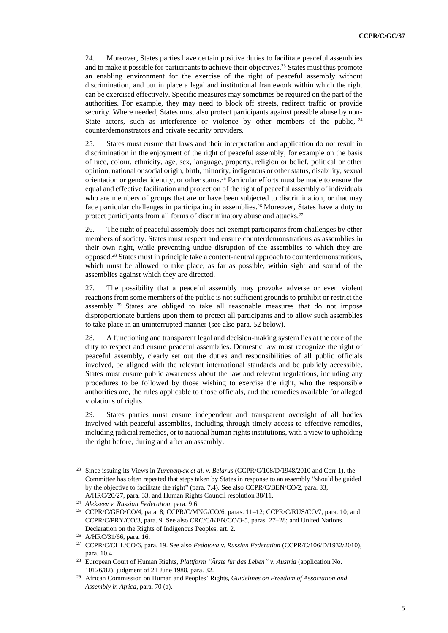24. Moreover, States parties have certain positive duties to facilitate peaceful assemblies and to make it possible for participants to achieve their objectives. <sup>23</sup> States must thus promote an enabling environment for the exercise of the right of peaceful assembly without discrimination, and put in place a legal and institutional framework within which the right can be exercised effectively. Specific measures may sometimes be required on the part of the authorities. For example, they may need to block off streets, redirect traffic or provide security. Where needed, States must also protect participants against possible abuse by non-State actors, such as interference or violence by other members of the public,  $24$ counterdemonstrators and private security providers.

25. States must ensure that laws and their interpretation and application do not result in discrimination in the enjoyment of the right of peaceful assembly, for example on the basis of race, colour, ethnicity, age, sex, language, property, religion or belief, political or other opinion, national or social origin, birth, minority, indigenous or other status, disability, sexual orientation or gender identity, or other status. <sup>25</sup> Particular efforts must be made to ensure the equal and effective facilitation and protection of the right of peaceful assembly of individuals who are members of groups that are or have been subjected to discrimination, or that may face particular challenges in participating in assemblies. <sup>26</sup> Moreover, States have a duty to protect participants from all forms of discriminatory abuse and attacks.<sup>27</sup>

26. The right of peaceful assembly does not exempt participants from challenges by other members of society. States must respect and ensure counterdemonstrations as assemblies in their own right, while preventing undue disruption of the assemblies to which they are opposed.<sup>28</sup> States must in principle take a content-neutral approach to counterdemonstrations, which must be allowed to take place, as far as possible, within sight and sound of the assemblies against which they are directed.

27. The possibility that a peaceful assembly may provoke adverse or even violent reactions from some members of the public is not sufficient grounds to prohibit or restrict the assembly. <sup>29</sup> States are obliged to take all reasonable measures that do not impose disproportionate burdens upon them to protect all participants and to allow such assemblies to take place in an uninterrupted manner (see also para. 52 below).

28. A functioning and transparent legal and decision-making system lies at the core of the duty to respect and ensure peaceful assemblies. Domestic law must recognize the right of peaceful assembly, clearly set out the duties and responsibilities of all public officials involved, be aligned with the relevant international standards and be publicly accessible. States must ensure public awareness about the law and relevant regulations, including any procedures to be followed by those wishing to exercise the right, who the responsible authorities are, the rules applicable to those officials, and the remedies available for alleged violations of rights.

29. States parties must ensure independent and transparent oversight of all bodies involved with peaceful assemblies, including through timely access to effective remedies, including judicial remedies, or to national human rights institutions, with a view to upholding the right before, during and after an assembly.

<sup>23</sup> Since issuing its Views in *Turchenyak et al. v. Belarus* (CCPR/C/108/D/1948/2010 and Corr.1), the Committee has often repeated that steps taken by States in response to an assembly "should be guided by the objective to facilitate the right" (para. 7.4). See also CCPR/C/BEN/CO/2, para. 33, A/HRC/20/27, para. 33, and Human Rights Council resolution 38/11.

<sup>24</sup> *Alekseev v. Russian Federation*, para. 9.6.

<sup>25</sup> CCPR/C/GEO/CO/4, para. 8; CCPR/C/MNG/CO/6, paras. 11–12; CCPR/C/RUS/CO/7, para. 10; and CCPR/C/PRY/CO/3, para. 9. See also CRC/C/KEN/CO/3-5, paras. 27–28; and United Nations Declaration on the Rights of Indigenous Peoples, art. 2.

<sup>26</sup> A/HRC/31/66, para. 16.

<sup>27</sup> CCPR/C/CHL/CO/6, para. 19. See also *Fedotova v. Russian Federation* (CCPR/C/106/D/1932/2010), para. 10.4.

<sup>28</sup> European Court of Human Rights, *Plattform "Ärzte für das Leben" v. Austria* (application No. 10126/82), judgment of 21 June 1988, para. 32.

<sup>29</sup> African Commission on Human and Peoples' Rights, *Guidelines on Freedom of Association and Assembly in Africa*, para. 70 (a).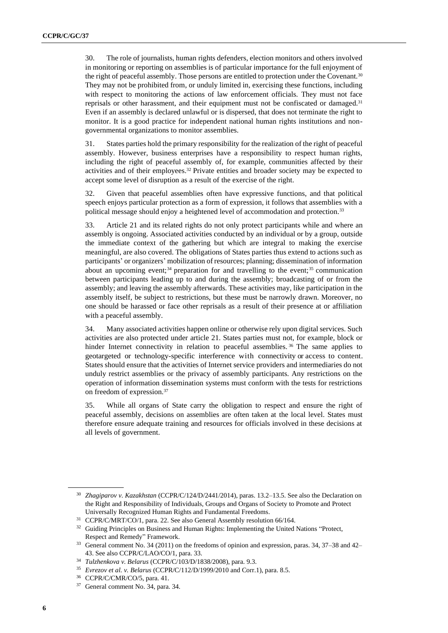30. The role of journalists, human rights defenders, election monitors and others involved in monitoring or reporting on assemblies is of particular importance for the full enjoyment of the right of peaceful assembly. Those persons are entitled to protection under the Covenant.<sup>30</sup> They may not be prohibited from, or unduly limited in, exercising these functions, including with respect to monitoring the actions of law enforcement officials. They must not face reprisals or other harassment, and their equipment must not be confiscated or damaged.<sup>31</sup> Even if an assembly is declared unlawful or is dispersed, that does not terminate the right to monitor. It is a good practice for independent national human rights institutions and nongovernmental organizations to monitor assemblies.

31. States parties hold the primary responsibility for the realization of the right of peaceful assembly. However, business enterprises have a responsibility to respect human rights, including the right of peaceful assembly of, for example, communities affected by their activities and of their employees. <sup>32</sup> Private entities and broader society may be expected to accept some level of disruption as a result of the exercise of the right.

32. Given that peaceful assemblies often have expressive functions, and that political speech enjoys particular protection as a form of expression, it follows that assemblies with a political message should enjoy a heightened level of accommodation and protection.<sup>33</sup>

33. Article 21 and its related rights do not only protect participants while and where an assembly is ongoing. Associated activities conducted by an individual or by a group, outside the immediate context of the gathering but which are integral to making the exercise meaningful, are also covered. The obligations of States parties thus extend to actions such as participants' or organizers' mobilization of resources; planning; dissemination of information about an upcoming event;<sup>34</sup> preparation for and travelling to the event;<sup>35</sup> communication between participants leading up to and during the assembly; broadcasting of or from the assembly; and leaving the assembly afterwards. These activities may, like participation in the assembly itself, be subject to restrictions, but these must be narrowly drawn. Moreover, no one should be harassed or face other reprisals as a result of their presence at or affiliation with a peaceful assembly.

34. Many associated activities happen online or otherwise rely upon digital services. Such activities are also protected under article 21. States parties must not, for example, block or hinder Internet connectivity in relation to peaceful assemblies.<sup>36</sup> The same applies to geotargeted or technology-specific interference with connectivity or access to content. States should ensure that the activities of Internet service providers and intermediaries do not unduly restrict assemblies or the privacy of assembly participants. Any restrictions on the operation of information dissemination systems must conform with the tests for restrictions on freedom of expression.<sup>37</sup>

35. While all organs of State carry the obligation to respect and ensure the right of peaceful assembly, decisions on assemblies are often taken at the local level. States must therefore ensure adequate training and resources for officials involved in these decisions at all levels of government.

<sup>30</sup> *Zhagiparov v. Kazakhstan* (CCPR/C/124/D/2441/2014), paras. 13.2–13.5. See also the Declaration on the Right and Responsibility of Individuals, Groups and Organs of Society to Promote and Protect Universally Recognized Human Rights and Fundamental Freedoms.

<sup>31</sup> CCPR/C/MRT/CO/1, para. 22. See also General Assembly resolution 66/164.

<sup>&</sup>lt;sup>32</sup> Guiding Principles on Business and Human Rights: Implementing the United Nations "Protect, Respect and Remedy" Framework.

<sup>33</sup> General comment No. 34 (2011) on the freedoms of opinion and expression, paras. 34, 37–38 and 42– 43. See also CCPR/C/LAO/CO/1, para. 33.

<sup>34</sup> *Tulzhenkova v. Belarus* (CCPR/C/103/D/1838/2008), para. 9.3.

<sup>35</sup> *Evrezov et al. v. Belarus* (CCPR/C/112/D/1999/2010 and Corr.1), para. 8.5.

<sup>36</sup> CCPR/C/CMR/CO/5, para. 41.

<sup>37</sup> General comment No. 34, para. 34.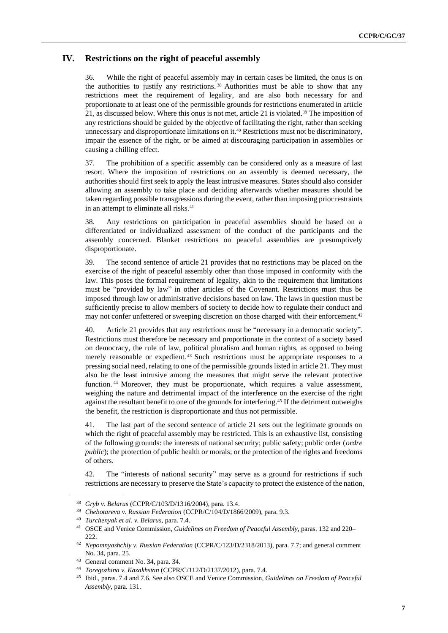#### **IV. Restrictions on the right of peaceful assembly**

36. While the right of peaceful assembly may in certain cases be limited, the onus is on the authorities to justify any restrictions. <sup>38</sup> Authorities must be able to show that any restrictions meet the requirement of legality, and are also both necessary for and proportionate to at least one of the permissible grounds for restrictions enumerated in article 21, as discussed below. Where this onus is not met, article 21 is violated.<sup>39</sup> The imposition of any restrictions should be guided by the objective of facilitating the right, rather than seeking unnecessary and disproportionate limitations on it.<sup>40</sup> Restrictions must not be discriminatory, impair the essence of the right, or be aimed at discouraging participation in assemblies or causing a chilling effect.

37. The prohibition of a specific assembly can be considered only as a measure of last resort. Where the imposition of restrictions on an assembly is deemed necessary, the authorities should first seek to apply the least intrusive measures. States should also consider allowing an assembly to take place and deciding afterwards whether measures should be taken regarding possible transgressions during the event, rather than imposing prior restraints in an attempt to eliminate all risks.<sup>41</sup>

38. Any restrictions on participation in peaceful assemblies should be based on a differentiated or individualized assessment of the conduct of the participants and the assembly concerned. Blanket restrictions on peaceful assemblies are presumptively disproportionate.

39. The second sentence of article 21 provides that no restrictions may be placed on the exercise of the right of peaceful assembly other than those imposed in conformity with the law. This poses the formal requirement of legality, akin to the requirement that limitations must be "provided by law" in other articles of the Covenant. Restrictions must thus be imposed through law or administrative decisions based on law. The laws in question must be sufficiently precise to allow members of society to decide how to regulate their conduct and may not confer unfettered or sweeping discretion on those charged with their enforcement.<sup>42</sup>

40. Article 21 provides that any restrictions must be "necessary in a democratic society". Restrictions must therefore be necessary and proportionate in the context of a society based on democracy, the rule of law, political pluralism and human rights, as opposed to being merely reasonable or expedient. <sup>43</sup> Such restrictions must be appropriate responses to a pressing social need, relating to one of the permissible grounds listed in article 21. They must also be the least intrusive among the measures that might serve the relevant protective function. <sup>44</sup> Moreover, they must be proportionate, which requires a value assessment, weighing the nature and detrimental impact of the interference on the exercise of the right against the resultant benefit to one of the grounds for interfering.<sup>45</sup> If the detriment outweighs the benefit, the restriction is disproportionate and thus not permissible.

41. The last part of the second sentence of article 21 sets out the legitimate grounds on which the right of peaceful assembly may be restricted. This is an exhaustive list, consisting of the following grounds: the interests of national security; public safety; public order (*ordre public*); the protection of public health or morals; or the protection of the rights and freedoms of others.

42. The "interests of national security" may serve as a ground for restrictions if such restrictions are necessary to preserve the State's capacity to protect the existence of the nation,

<sup>38</sup> *Gryb v. Belarus* (CCPR/C/103/D/1316/2004), para. 13.4.

<sup>39</sup> *Chebotareva v. Russian Federation* (CCPR/C/104/D/1866/2009), para. 9.3.

<sup>40</sup> *Turchenyak et al. v. Belarus*, para. 7.4.

<sup>41</sup> OSCE and Venice Commission, *Guidelines on Freedom of Peaceful Assembly*, paras. 132 and 220– 222.

<sup>42</sup> *Nepomnyashchiy v. Russian Federation* (CCPR/C/123/D/2318/2013), para. 7.7; and general comment No. 34, para. 25.

<sup>43</sup> General comment No. 34, para. 34.

<sup>44</sup> *Toregozhina v. Kazakhstan* (CCPR/C/112/D/2137/2012), para. 7.4.

<sup>45</sup> Ibid., paras. 7.4 and 7.6. See also OSCE and Venice Commission, *Guidelines on Freedom of Peaceful Assembly*, para. 131.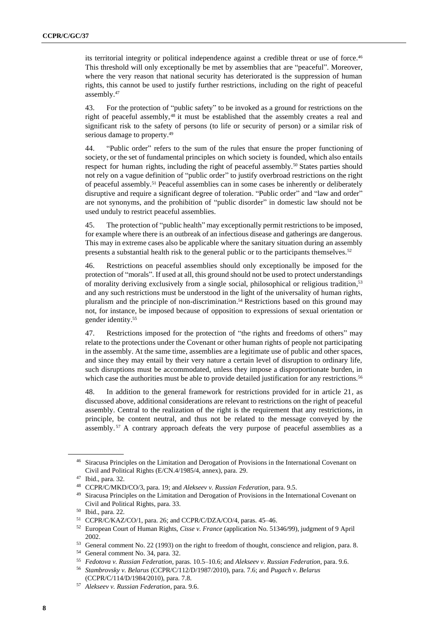its territorial integrity or political independence against a credible threat or use of force.<sup>46</sup> This threshold will only exceptionally be met by assemblies that are "peaceful". Moreover, where the very reason that national security has deteriorated is the suppression of human rights, this cannot be used to justify further restrictions, including on the right of peaceful assembly.<sup>47</sup>

43. For the protection of "public safety" to be invoked as a ground for restrictions on the right of peaceful assembly,<sup>48</sup> it must be established that the assembly creates a real and significant risk to the safety of persons (to life or security of person) or a similar risk of serious damage to property.<sup>49</sup>

44. "Public order" refers to the sum of the rules that ensure the proper functioning of society, or the set of fundamental principles on which society is founded, which also entails respect for human rights, including the right of peaceful assembly.<sup>50</sup> States parties should not rely on a vague definition of "public order" to justify overbroad restrictions on the right of peaceful assembly.<sup>51</sup> Peaceful assemblies can in some cases be inherently or deliberately disruptive and require a significant degree of toleration. "Public order" and "law and order" are not synonyms, and the prohibition of "public disorder" in domestic law should not be used unduly to restrict peaceful assemblies.

45. The protection of "public health" may exceptionally permit restrictions to be imposed, for example where there is an outbreak of an infectious disease and gatherings are dangerous. This may in extreme cases also be applicable where the sanitary situation during an assembly presents a substantial health risk to the general public or to the participants themselves.<sup>52</sup>

46. Restrictions on peaceful assemblies should only exceptionally be imposed for the protection of "morals". If used at all, this ground should not be used to protect understandings of morality deriving exclusively from a single social, philosophical or religious tradition, 53 and any such restrictions must be understood in the light of the universality of human rights, pluralism and the principle of non-discrimination. <sup>54</sup> Restrictions based on this ground may not, for instance, be imposed because of opposition to expressions of sexual orientation or gender identity. 55

47. Restrictions imposed for the protection of "the rights and freedoms of others" may relate to the protections under the Covenant or other human rights of people not participating in the assembly. At the same time, assemblies are a legitimate use of public and other spaces, and since they may entail by their very nature a certain level of disruption to ordinary life, such disruptions must be accommodated, unless they impose a disproportionate burden, in which case the authorities must be able to provide detailed justification for any restrictions.<sup>56</sup>

48. In addition to the general framework for restrictions provided for in article 21, as discussed above, additional considerations are relevant to restrictions on the right of peaceful assembly. Central to the realization of the right is the requirement that any restrictions, in principle, be content neutral, and thus not be related to the message conveyed by the assembly. <sup>57</sup> A contrary approach defeats the very purpose of peaceful assemblies as a

<sup>46</sup> Siracusa Principles on the Limitation and Derogation of Provisions in the International Covenant on Civil and Political Rights (E/CN.4/1985/4, annex), para. 29.

<sup>47</sup> Ibid., para. 32.

<sup>48</sup> CCPR/C/MKD/CO/3, para. 19; and *Alekseev v. Russian Federation*, para. 9.5.

<sup>&</sup>lt;sup>49</sup> Siracusa Principles on the Limitation and Derogation of Provisions in the International Covenant on Civil and Political Rights, para. 33.

<sup>50</sup> Ibid., para. 22.

<sup>51</sup> CCPR/C/KAZ/CO/1, para. 26; and CCPR/C/DZA/CO/4, paras. 45–46.

<sup>52</sup> European Court of Human Rights, *Cisse v. France* (application No. 51346/99), judgment of 9 April 2002.

<sup>53</sup> General comment No. 22 (1993) on the right to freedom of thought, conscience and religion, para. 8.

<sup>54</sup> General comment No. 34, para. 32.

<sup>55</sup> *Fedotova v. Russian Federation*, paras. 10.5–10.6; and *Alekseev v. Russian Federation*, para. 9.6.

<sup>56</sup> *Stambrovsky v. Belarus* (CCPR/C/112/D/1987/2010), para. 7.6; and *Pugach v. Belarus* (CCPR/C/114/D/1984/2010), para. 7.8.

<sup>57</sup> *Alekseev v. Russian Federation*, para. 9.6.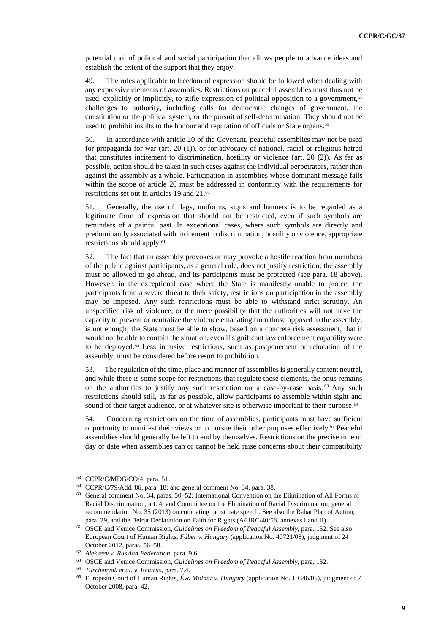potential tool of political and social participation that allows people to advance ideas and establish the extent of the support that they enjoy.

49. The rules applicable to freedom of expression should be followed when dealing with any expressive elements of assemblies. Restrictions on peaceful assemblies must thus not be used, explicitly or implicitly, to stifle expression of political opposition to a government,<sup>58</sup> challenges to authority, including calls for democratic changes of government, the constitution or the political system, or the pursuit of self-determination. They should not be used to prohibit insults to the honour and reputation of officials or State organs.<sup>59</sup>

50. In accordance with article 20 of the Covenant, peaceful assemblies may not be used for propaganda for war (art. 20 (1)), or for advocacy of national, racial or religious hatred that constitutes incitement to discrimination, hostility or violence (art. 20  $(2)$ ). As far as possible, action should be taken in such cases against the individual perpetrators, rather than against the assembly as a whole. Participation in assemblies whose dominant message falls within the scope of article 20 must be addressed in conformity with the requirements for restrictions set out in articles 19 and 21. 60

51. Generally, the use of flags, uniforms, signs and banners is to be regarded as a legitimate form of expression that should not be restricted, even if such symbols are reminders of a painful past. In exceptional cases, where such symbols are directly and predominantly associated with incitement to discrimination, hostility or violence, appropriate restrictions should apply. 61

52. The fact that an assembly provokes or may provoke a hostile reaction from members of the public against participants, as a general rule, does not justify restriction; the assembly must be allowed to go ahead, and its participants must be protected (see para. 18 above). However, in the exceptional case where the State is manifestly unable to protect the participants from a severe threat to their safety, restrictions on participation in the assembly may be imposed. Any such restrictions must be able to withstand strict scrutiny. An unspecified risk of violence, or the mere possibility that the authorities will not have the capacity to prevent or neutralize the violence emanating from those opposed to the assembly, is not enough; the State must be able to show, based on a concrete risk assessment, that it would not be able to contain the situation, even if significant law enforcement capability were to be deployed. <sup>62</sup> Less intrusive restrictions, such as postponement or relocation of the assembly, must be considered before resort to prohibition.

53. The regulation of the time, place and manner of assemblies is generally content neutral, and while there is some scope for restrictions that regulate these elements, the onus remains on the authorities to justify any such restriction on a case-by-case basis.<sup>63</sup> Any such restrictions should still, as far as possible, allow participants to assemble within sight and sound of their target audience, or at whatever site is otherwise important to their purpose.<sup>64</sup>

54. Concerning restrictions on the time of assemblies, participants must have sufficient opportunity to manifest their views or to pursue their other purposes effectively.<sup>65</sup> Peaceful assemblies should generally be left to end by themselves. Restrictions on the precise time of day or date when assemblies can or cannot be held raise concerns about their compatibility

<sup>58</sup> CCPR/C/MDG/CO/4, para. 51.

<sup>59</sup> CCPR/C/79/Add. 86, para. 18; and general comment No. 34, para. 38.

<sup>60</sup> General comment No. 34, paras. 50–52; International Convention on the Elimination of All Forms of Racial Discrimination, art. 4; and Committee on the Elimination of Racial Discrimination, general recommendation No. 35 (2013) on combating racist hate speech. See also the Rabat Plan of Action, para. 29, and the Beirut Declaration on Faith for Rights (A/HRC/40/58, annexes I and II).

<sup>61</sup> OSCE and Venice Commission, *Guidelines on Freedom of Peaceful Assembly*, para. 152. See also European Court of Human Rights, *Fáber v. Hungary* (application No. 40721/08), judgment of 24 October 2012, paras. 56–58.

<sup>62</sup> *Alekseev v. Russian Federation*, para. 9.6.

<sup>63</sup> OSCE and Venice Commission, *Guidelines on Freedom of Peaceful Assembly*, para. 132.

<sup>64</sup> *Turchenyak et al. v. Belarus*, para. 7.4.

<sup>65</sup> European Court of Human Rights, *Éva Molnár v. Hungary* (application No. 10346/05), judgment of 7 October 2008, para. 42.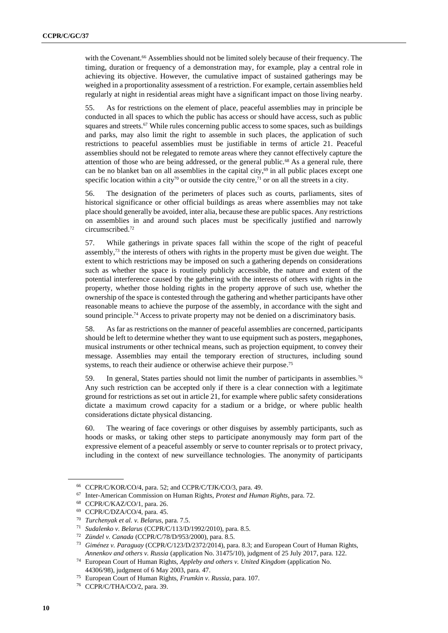with the Covenant.<sup>66</sup> Assemblies should not be limited solely because of their frequency. The timing, duration or frequency of a demonstration may, for example, play a central role in achieving its objective. However, the cumulative impact of sustained gatherings may be weighed in a proportionality assessment of a restriction. For example, certain assemblies held regularly at night in residential areas might have a significant impact on those living nearby.

55. As for restrictions on the element of place, peaceful assemblies may in principle be conducted in all spaces to which the public has access or should have access, such as public squares and streets.<sup>67</sup> While rules concerning public access to some spaces, such as buildings and parks, may also limit the right to assemble in such places, the application of such restrictions to peaceful assemblies must be justifiable in terms of article 21. Peaceful assemblies should not be relegated to remote areas where they cannot effectively capture the attention of those who are being addressed, or the general public.<sup>68</sup> As a general rule, there can be no blanket ban on all assemblies in the capital city, $69$  in all public places except one specific location within a city<sup>70</sup> or outside the city centre,<sup>71</sup> or on all the streets in a city.

56. The designation of the perimeters of places such as courts, parliaments, sites of historical significance or other official buildings as areas where assemblies may not take place should generally be avoided, inter alia, because these are public spaces. Any restrictions on assemblies in and around such places must be specifically justified and narrowly circumscribed. 72

57. While gatherings in private spaces fall within the scope of the right of peaceful assembly,<sup>73</sup> the interests of others with rights in the property must be given due weight. The extent to which restrictions may be imposed on such a gathering depends on considerations such as whether the space is routinely publicly accessible, the nature and extent of the potential interference caused by the gathering with the interests of others with rights in the property, whether those holding rights in the property approve of such use, whether the ownership of the space is contested through the gathering and whether participants have other reasonable means to achieve the purpose of the assembly, in accordance with the sight and sound principle. <sup>74</sup> Access to private property may not be denied on a discriminatory basis.

58. As far as restrictions on the manner of peaceful assemblies are concerned, participants should be left to determine whether they want to use equipment such as posters, megaphones, musical instruments or other technical means, such as projection equipment, to convey their message. Assemblies may entail the temporary erection of structures, including sound systems, to reach their audience or otherwise achieve their purpose.<sup>75</sup>

59. In general, States parties should not limit the number of participants in assemblies.<sup>76</sup> Any such restriction can be accepted only if there is a clear connection with a legitimate ground for restrictions as set out in article 21, for example where public safety considerations dictate a maximum crowd capacity for a stadium or a bridge, or where public health considerations dictate physical distancing.

60. The wearing of face coverings or other disguises by assembly participants, such as hoods or masks, or taking other steps to participate anonymously may form part of the expressive element of a peaceful assembly or serve to counter reprisals or to protect privacy, including in the context of new surveillance technologies. The anonymity of participants

<sup>66</sup> CCPR/C/KOR/CO/4, para. 52; and CCPR/C/TJK/CO/3, para. 49.

<sup>67</sup> Inter-American Commission on Human Rights, *Protest and Human Rights*, para. 72.

<sup>68</sup> CCPR/C/KAZ/CO/1, para. 26.

<sup>69</sup> CCPR/C/DZA/CO/4, para. 45.

<sup>70</sup> *Turchenyak et al. v. Belarus*, para. 7.5.

<sup>71</sup> *Sudalenko v. Belarus* (CCPR/C/113/D/1992/2010), para. 8.5.

<sup>72</sup> *Zündel v. Canada* (CCPR/C/78/D/953/2000), para. 8.5.

<sup>73</sup> *Giménez v. Paraguay* (CCPR/C/123/D/2372/2014), para. 8.3; and European Court of Human Rights, *Annenkov and others v. Russia* (application No. 31475/10), judgment of 25 July 2017, para. 122.

<sup>74</sup> European Court of Human Rights, *Appleby and others v. United Kingdom* (application No. 44306/98), judgment of 6 May 2003, para. 47.

<sup>75</sup> European Court of Human Rights, *Frumkin v. Russia*, para. 107.

<sup>76</sup> CCPR/C/THA/CO/2, para. 39.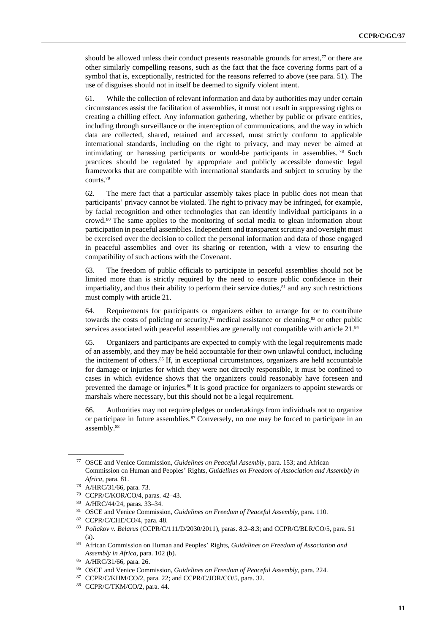should be allowed unless their conduct presents reasonable grounds for arrest, $77$  or there are other similarly compelling reasons, such as the fact that the face covering forms part of a symbol that is, exceptionally, restricted for the reasons referred to above (see para. 51). The use of disguises should not in itself be deemed to signify violent intent.

61. While the collection of relevant information and data by authorities may under certain circumstances assist the facilitation of assemblies, it must not result in suppressing rights or creating a chilling effect. Any information gathering, whether by public or private entities, including through surveillance or the interception of communications, and the way in which data are collected, shared, retained and accessed, must strictly conform to applicable international standards, including on the right to privacy, and may never be aimed at intimidating or harassing participants or would-be participants in assemblies. <sup>78</sup> Such practices should be regulated by appropriate and publicly accessible domestic legal frameworks that are compatible with international standards and subject to scrutiny by the courts.<sup>79</sup>

62. The mere fact that a particular assembly takes place in public does not mean that participants' privacy cannot be violated. The right to privacy may be infringed, for example, by facial recognition and other technologies that can identify individual participants in a crowd.<sup>80</sup> The same applies to the monitoring of social media to glean information about participation in peaceful assemblies. Independent and transparent scrutiny and oversight must be exercised over the decision to collect the personal information and data of those engaged in peaceful assemblies and over its sharing or retention, with a view to ensuring the compatibility of such actions with the Covenant.

63. The freedom of public officials to participate in peaceful assemblies should not be limited more than is strictly required by the need to ensure public confidence in their impartiality, and thus their ability to perform their service duties, <sup>81</sup> and any such restrictions must comply with article 21.

64. Requirements for participants or organizers either to arrange for or to contribute towards the costs of policing or security, ${}^{82}$  medical assistance or cleaning, ${}^{83}$  or other public services associated with peaceful assemblies are generally not compatible with article 21.<sup>84</sup>

65. Organizers and participants are expected to comply with the legal requirements made of an assembly, and they may be held accountable for their own unlawful conduct, including the incitement of others. <sup>85</sup> If, in exceptional circumstances, organizers are held accountable for damage or injuries for which they were not directly responsible, it must be confined to cases in which evidence shows that the organizers could reasonably have foreseen and prevented the damage or injuries. <sup>86</sup> It is good practice for organizers to appoint stewards or marshals where necessary, but this should not be a legal requirement.

66. Authorities may not require pledges or undertakings from individuals not to organize or participate in future assemblies.<sup>87</sup> Conversely, no one may be forced to participate in an assembly.<sup>88</sup>

<sup>77</sup> OSCE and Venice Commission, *Guidelines on Peaceful Assembly*, para. 153; and African Commission on Human and Peoples' Rights, *Guidelines on Freedom of Association and Assembly in Africa*, para. 81.

<sup>78</sup> A/HRC/31/66, para. 73.

<sup>79</sup> CCPR/C/KOR/CO/4, paras. 42–43.

<sup>80</sup> A/HRC/44/24, paras. 33–34.

<sup>81</sup> OSCE and Venice Commission, *Guidelines on Freedom of Peaceful Assembly*, para. 110.

<sup>82</sup> CCPR/C/CHE/CO/4, para. 48.

<sup>83</sup> *Poliakov v. Belarus* (CCPR/C/111/D/2030/2011), paras. 8.2–8.3; and CCPR/C/BLR/CO/5, para. 51 (a).

<sup>84</sup> African Commission on Human and Peoples' Rights, *Guidelines on Freedom of Association and Assembly in Africa*, para. 102 (b).

<sup>85</sup> A/HRC/31/66, para. 26.

<sup>86</sup> OSCE and Venice Commission, *Guidelines on Freedom of Peaceful Assembly*, para. 224.

<sup>87</sup> CCPR/C/KHM/CO/2, para. 22; and CCPR/C/JOR/CO/5, para. 32.

<sup>88</sup> CCPR/C/TKM/CO/2, para. 44.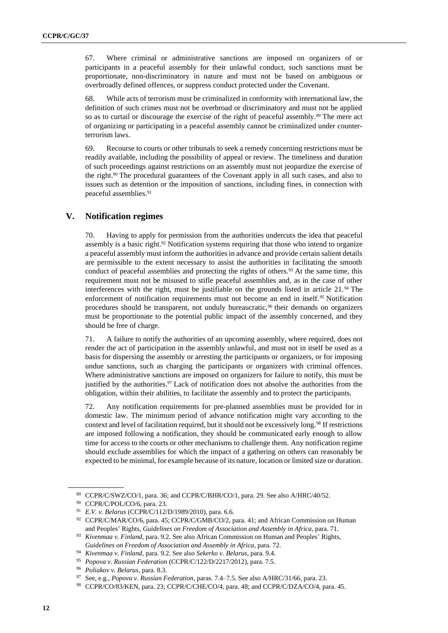67. Where criminal or administrative sanctions are imposed on organizers of or participants in a peaceful assembly for their unlawful conduct, such sanctions must be proportionate, non-discriminatory in nature and must not be based on ambiguous or overbroadly defined offences, or suppress conduct protected under the Covenant.

68. While acts of terrorism must be criminalized in conformity with international law, the definition of such crimes must not be overbroad or discriminatory and must not be applied so as to curtail or discourage the exercise of the right of peaceful assembly.<sup>89</sup> The mere act of organizing or participating in a peaceful assembly cannot be criminalized under counterterrorism laws.

69. Recourse to courts or other tribunals to seek a remedy concerning restrictions must be readily available, including the possibility of appeal or review. The timeliness and duration of such proceedings against restrictions on an assembly must not jeopardize the exercise of the right.<sup>90</sup> The procedural guarantees of the Covenant apply in all such cases, and also to issues such as detention or the imposition of sanctions, including fines, in connection with peaceful assemblies.<sup>91</sup>

#### **V. Notification regimes**

70. Having to apply for permission from the authorities undercuts the idea that peaceful assembly is a basic right. $92$  Notification systems requiring that those who intend to organize a peaceful assembly must inform the authorities in advance and provide certain salient details are permissible to the extent necessary to assist the authorities in facilitating the smooth conduct of peaceful assemblies and protecting the rights of others.<sup>93</sup> At the same time, this requirement must not be misused to stifle peaceful assemblies and, as in the case of other interferences with the right, must be justifiable on the grounds listed in article 21.<sup>94</sup> The enforcement of notification requirements must not become an end in itself.<sup>95</sup> Notification procedures should be transparent, not unduly bureaucratic,<sup>96</sup> their demands on organizers must be proportionate to the potential public impact of the assembly concerned, and they should be free of charge.

71. A failure to notify the authorities of an upcoming assembly, where required, does not render the act of participation in the assembly unlawful, and must not in itself be used as a basis for dispersing the assembly or arresting the participants or organizers, or for imposing undue sanctions, such as charging the participants or organizers with criminal offences. Where administrative sanctions are imposed on organizers for failure to notify, this must be justified by the authorities. <sup>97</sup> Lack of notification does not absolve the authorities from the obligation, within their abilities, to facilitate the assembly and to protect the participants.

72. Any notification requirements for pre-planned assemblies must be provided for in domestic law. The minimum period of advance notification might vary according to the context and level of facilitation required, but it should not be excessively long.<sup>98</sup> If restrictions are imposed following a notification, they should be communicated early enough to allow time for access to the courts or other mechanisms to challenge them. Any notification regime should exclude assemblies for which the impact of a gathering on others can reasonably be expected to be minimal, for example because of its nature, location or limited size or duration.

<sup>89</sup> CCPR/C/SWZ/CO/1, para. 36; and CCPR/C/BHR/CO/1, para. 29. See also A/HRC/40/52.

<sup>90</sup> CCPR/C/POL/CO/6, para. 23.

<sup>91</sup> *E.V. v. Belarus* (CCPR/C/112/D/1989/2010), para. 6.6.

<sup>&</sup>lt;sup>92</sup> CCPR/C/MAR/CO/6, para. 45; CCPR/C/GMB/CO/2, para. 41; and African Commission on Human and Peoples' Rights, *Guidelines on Freedom of Association and Assembly in Africa*, para. 71.

<sup>93</sup> *Kivenmaa v. Finland*, para. 9.2. See also African Commission on Human and Peoples' Rights, *Guidelines on Freedom of Association and Assembly in Africa*, para. 72.

<sup>94</sup> *Kivenmaa v. Finland*, para. 9.2. See also *Sekerko v. Belarus*, para. 9.4.

<sup>95</sup> *Popova v. Russian Federation* (CCPR/C/122/D/2217/2012), para. 7.5.

<sup>96</sup> *Poliakov v. Belarus*, para. 8.3.

<sup>97</sup> See, e.g., *Popova v. Russian Federation*, paras. 7.4–7.5. See also A/HRC/31/66, para. 23.

<sup>98</sup> CCPR/CO/83/KEN, para. 23; CCPR/C/CHE/CO/4, para. 48; and CCPR/C/DZA/CO/4, para. 45.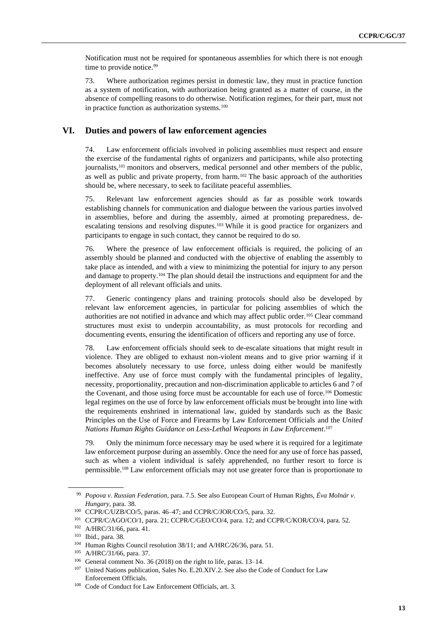Notification must not be required for spontaneous assemblies for which there is not enough time to provide notice.<sup>99</sup>

73. Where authorization regimes persist in domestic law, they must in practice function as a system of notification, with authorization being granted as a matter of course, in the absence of compelling reasons to do otherwise. Notification regimes, for their part, must not in practice function as authorization systems.<sup>100</sup>

#### **VI. Duties and powers of law enforcement agencies**

74. Law enforcement officials involved in policing assemblies must respect and ensure the exercise of the fundamental rights of organizers and participants, while also protecting journalists,<sup>101</sup> monitors and observers, medical personnel and other members of the public, as well as public and private property, from harm.<sup>102</sup> The basic approach of the authorities should be, where necessary, to seek to facilitate peaceful assemblies.

75. Relevant law enforcement agencies should as far as possible work towards establishing channels for communication and dialogue between the various parties involved in assemblies, before and during the assembly, aimed at promoting preparedness, deescalating tensions and resolving disputes.<sup>103</sup> While it is good practice for organizers and participants to engage in such contact, they cannot be required to do so.

76. Where the presence of law enforcement officials is required, the policing of an assembly should be planned and conducted with the objective of enabling the assembly to take place as intended, and with a view to minimizing the potential for injury to any person and damage to property.<sup>104</sup> The plan should detail the instructions and equipment for and the deployment of all relevant officials and units.

77. Generic contingency plans and training protocols should also be developed by relevant law enforcement agencies, in particular for policing assemblies of which the authorities are not notified in advance and which may affect public order.<sup>105</sup> Clear command structures must exist to underpin accountability, as must protocols for recording and documenting events, ensuring the identification of officers and reporting any use of force.

78. Law enforcement officials should seek to de-escalate situations that might result in violence. They are obliged to exhaust non-violent means and to give prior warning if it becomes absolutely necessary to use force, unless doing either would be manifestly ineffective. Any use of force must comply with the fundamental principles of legality, necessity, proportionality, precaution and non-discrimination applicable to articles 6 and 7 of the Covenant, and those using force must be accountable for each use of force.<sup>106</sup> Domestic legal regimes on the use of force by law enforcement officials must be brought into line with the requirements enshrined in international law, guided by standards such as the Basic Principles on the Use of Force and Firearms by Law Enforcement Officials and the *United Nations Human Rights Guidance on Less-Lethal Weapons in Law Enforcement*. 107

79. Only the minimum force necessary may be used where it is required for a legitimate law enforcement purpose during an assembly. Once the need for any use of force has passed, such as when a violent individual is safely apprehended, no further resort to force is permissible.<sup>108</sup> Law enforcement officials may not use greater force than is proportionate to

<sup>99</sup> *Popova v. Russian Federation*, para. 7.5. See also European Court of Human Rights, *Éva Molnár v. Hungary*, para. 38.

<sup>100</sup> CCPR/C/UZB/CO/5, paras. 46–47; and CCPR/C/JOR/CO/5, para. 32.

<sup>101</sup> CCPR/C/AGO/CO/1, para. 21; CCPR/C/GEO/CO/4, para. 12; and CCPR/C/KOR/CO/4, para. 52.

<sup>102</sup> A/HRC/31/66, para. 41.

<sup>103</sup> Ibid., para. 38.

<sup>104</sup> Human Rights Council resolution 38/11; and A/HRC/26/36, para. 51.

<sup>105</sup> A/HRC/31/66, para. 37.

<sup>106</sup> General comment No. 36 (2018) on the right to life, paras. 13–14.

<sup>&</sup>lt;sup>107</sup> United Nations publication, Sales No. E.20.XIV.2. See also the Code of Conduct for Law Enforcement Officials.

<sup>108</sup> Code of Conduct for Law Enforcement Officials, art. 3.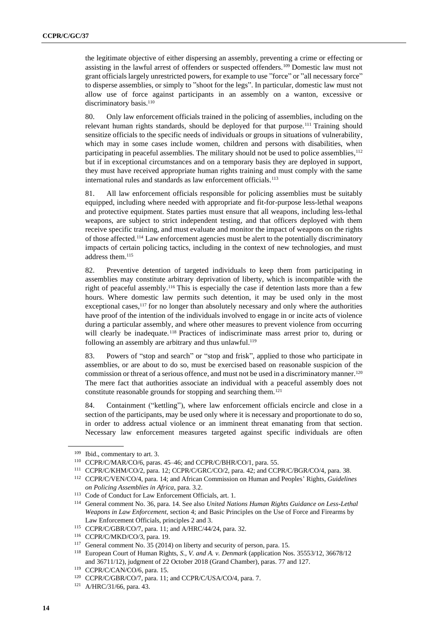the legitimate objective of either dispersing an assembly, preventing a crime or effecting or assisting in the lawful arrest of offenders or suspected offenders.<sup>109</sup> Domestic law must not grant officials largely unrestricted powers, for example to use "force" or "all necessary force" to disperse assemblies, or simply to "shoot for the legs". In particular, domestic law must not allow use of force against participants in an assembly on a wanton, excessive or discriminatory basis.<sup>110</sup>

80. Only law enforcement officials trained in the policing of assemblies, including on the relevant human rights standards, should be deployed for that purpose.<sup>111</sup> Training should sensitize officials to the specific needs of individuals or groups in situations of vulnerability, which may in some cases include women, children and persons with disabilities, when participating in peaceful assemblies. The military should not be used to police assemblies,<sup>112</sup> but if in exceptional circumstances and on a temporary basis they are deployed in support, they must have received appropriate human rights training and must comply with the same international rules and standards as law enforcement officials.<sup>113</sup>

81. All law enforcement officials responsible for policing assemblies must be suitably equipped, including where needed with appropriate and fit-for-purpose less-lethal weapons and protective equipment. States parties must ensure that all weapons, including less-lethal weapons, are subject to strict independent testing, and that officers deployed with them receive specific training, and must evaluate and monitor the impact of weapons on the rights of those affected.<sup>114</sup> Law enforcement agencies must be alert to the potentially discriminatory impacts of certain policing tactics, including in the context of new technologies, and must address them.<sup>115</sup>

82. Preventive detention of targeted individuals to keep them from participating in assemblies may constitute arbitrary deprivation of liberty, which is incompatible with the right of peaceful assembly. <sup>116</sup> This is especially the case if detention lasts more than a few hours. Where domestic law permits such detention, it may be used only in the most exceptional cases,<sup>117</sup> for no longer than absolutely necessary and only where the authorities have proof of the intention of the individuals involved to engage in or incite acts of violence during a particular assembly, and where other measures to prevent violence from occurring will clearly be inadequate.<sup>118</sup> Practices of indiscriminate mass arrest prior to, during or following an assembly are arbitrary and thus unlawful.<sup>119</sup>

83. Powers of "stop and search" or "stop and frisk", applied to those who participate in assemblies, or are about to do so, must be exercised based on reasonable suspicion of the commission or threat of a serious offence, and must not be used in a discriminatory manner.<sup>120</sup> The mere fact that authorities associate an individual with a peaceful assembly does not constitute reasonable grounds for stopping and searching them.<sup>121</sup>

84. Containment ("kettling"), where law enforcement officials encircle and close in a section of the participants, may be used only where it is necessary and proportionate to do so, in order to address actual violence or an imminent threat emanating from that section. Necessary law enforcement measures targeted against specific individuals are often

<sup>109</sup> Ibid., commentary to art. 3.

<sup>110</sup> CCPR/C/MAR/CO/6, paras. 45–46; and CCPR/C/BHR/CO/1, para. 55.

<sup>111</sup> CCPR/C/KHM/CO/2, para. 12; CCPR/C/GRC/CO/2, para. 42; and CCPR/C/BGR/CO/4, para. 38.

<sup>112</sup> CCPR/C/VEN/CO/4, para. 14; and African Commission on Human and Peoples' Rights, *Guidelines on Policing Assemblies in Africa*, para. 3.2.

<sup>113</sup> Code of Conduct for Law Enforcement Officials, art. 1.

<sup>114</sup> General comment No. 36, para. 14. See also *United Nations Human Rights Guidance on Less-Lethal Weapons in Law Enforcement*, section 4; and Basic Principles on the Use of Force and Firearms by Law Enforcement Officials, principles 2 and 3.

<sup>115</sup> CCPR/C/GBR/CO/7, para. 11; and A/HRC/44/24, para. 32.

<sup>116</sup> CCPR/C/MKD/CO/3, para. 19.

<sup>117</sup> General comment No. 35 (2014) on liberty and security of person, para. 15.

<sup>118</sup> European Court of Human Rights, *S., V. and A. v. Denmark* (application Nos. 35553/12, 36678/12 and 36711/12), judgment of 22 October 2018 (Grand Chamber), paras. 77 and 127.

<sup>119</sup> CCPR/C/CAN/CO/6, para. 15.

<sup>&</sup>lt;sup>120</sup> CCPR/C/GBR/CO/7, para. 11; and CCPR/C/USA/CO/4, para. 7.

<sup>121</sup> A/HRC/31/66, para. 43.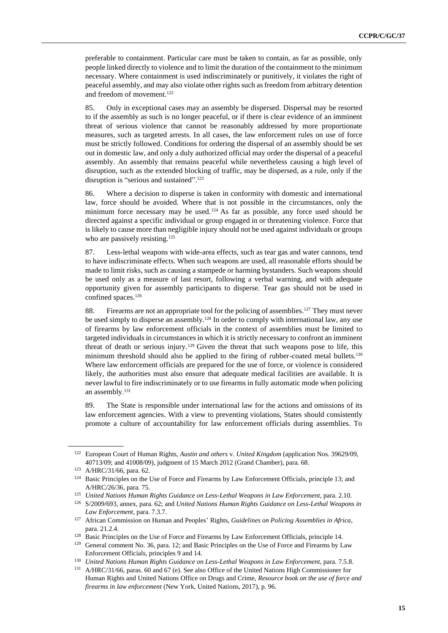preferable to containment. Particular care must be taken to contain, as far as possible, only people linked directly to violence and to limit the duration of the containment to the minimum necessary. Where containment is used indiscriminately or punitively, it violates the right of peaceful assembly, and may also violate other rights such as freedom from arbitrary detention and freedom of movement.<sup>122</sup>

85. Only in exceptional cases may an assembly be dispersed. Dispersal may be resorted to if the assembly as such is no longer peaceful, or if there is clear evidence of an imminent threat of serious violence that cannot be reasonably addressed by more proportionate measures, such as targeted arrests. In all cases, the law enforcement rules on use of force must be strictly followed. Conditions for ordering the dispersal of an assembly should be set out in domestic law, and only a duly authorized official may order the dispersal of a peaceful assembly. An assembly that remains peaceful while nevertheless causing a high level of disruption, such as the extended blocking of traffic, may be dispersed, as a rule, only if the disruption is "serious and sustained".<sup>123</sup>

86. Where a decision to disperse is taken in conformity with domestic and international law, force should be avoided. Where that is not possible in the circumstances, only the minimum force necessary may be used.<sup>124</sup> As far as possible, any force used should be directed against a specific individual or group engaged in or threatening violence. Force that is likely to cause more than negligible injury should not be used against individuals or groups who are passively resisting.<sup>125</sup>

87. Less-lethal weapons with wide-area effects, such as tear gas and water cannons, tend to have indiscriminate effects. When such weapons are used, all reasonable efforts should be made to limit risks, such as causing a stampede or harming bystanders. Such weapons should be used only as a measure of last resort, following a verbal warning, and with adequate opportunity given for assembly participants to disperse. Tear gas should not be used in confined spaces.<sup>126</sup>

88. Firearms are not an appropriate tool for the policing of assemblies.<sup>127</sup> They must never be used simply to disperse an assembly.<sup>128</sup> In order to comply with international law, any use of firearms by law enforcement officials in the context of assemblies must be limited to targeted individuals in circumstances in which it is strictly necessary to confront an imminent threat of death or serious injury.<sup>129</sup> Given the threat that such weapons pose to life, this minimum threshold should also be applied to the firing of rubber-coated metal bullets.<sup>130</sup> Where law enforcement officials are prepared for the use of force, or violence is considered likely, the authorities must also ensure that adequate medical facilities are available. It is never lawful to fire indiscriminately or to use firearms in fully automatic mode when policing an assembly. 131

89. The State is responsible under international law for the actions and omissions of its law enforcement agencies. With a view to preventing violations, States should consistently promote a culture of accountability for law enforcement officials during assemblies. To

<sup>122</sup> European Court of Human Rights, *Austin and others* v. *United Kingdom* (application Nos. 39629/09, 40713/09; and 41008/09), judgment of 15 March 2012 (Grand Chamber), para. 68.

<sup>123</sup> A/HRC/31/66, para. 62.

<sup>124</sup> Basic Principles on the Use of Force and Firearms by Law Enforcement Officials, principle 13; and A/HRC/26/36, para. 75.

<sup>125</sup> *United Nations Human Rights Guidance on Less-Lethal Weapons in Law Enforcement*, para. 2.10.

<sup>126</sup> S/2009/693, annex, para. 62; and *United Nations Human Rights Guidance on Less-Lethal Weapons in Law Enforcement*, para. 7.3.7.

<sup>127</sup> African Commission on Human and Peoples' Rights, *Guidelines on Policing Assemblies in Africa*, para. 21.2.4.

<sup>128</sup> Basic Principles on the Use of Force and Firearms by Law Enforcement Officials, principle 14.

<sup>&</sup>lt;sup>129</sup> General comment No. 36, para. 12; and Basic Principles on the Use of Force and Firearms by Law Enforcement Officials, principles 9 and 14.

<sup>130</sup> *United Nations Human Rights Guidance on Less-Lethal Weapons in Law Enforcement*, para. 7.5.8.

<sup>131</sup> A/HRC/31/66, paras. 60 and 67 (e). See also Office of the United Nations High Commissioner for Human Rights and United Nations Office on Drugs and Crime, *Resource book on the use of force and firearms in law enforcement* (New York, United Nations, 2017), p. 96.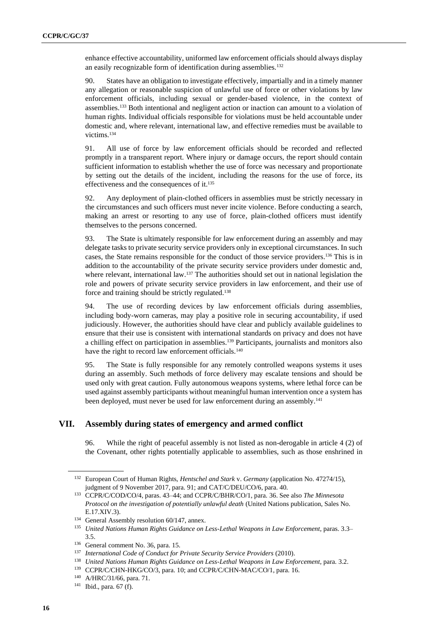enhance effective accountability, uniformed law enforcement officials should always display an easily recognizable form of identification during assemblies.<sup>132</sup>

90. States have an obligation to investigate effectively, impartially and in a timely manner any allegation or reasonable suspicion of unlawful use of force or other violations by law enforcement officials, including sexual or gender-based violence, in the context of assemblies.<sup>133</sup> Both intentional and negligent action or inaction can amount to a violation of human rights. Individual officials responsible for violations must be held accountable under domestic and, where relevant, international law, and effective remedies must be available to victims.<sup>134</sup>

91. All use of force by law enforcement officials should be recorded and reflected promptly in a transparent report. Where injury or damage occurs, the report should contain sufficient information to establish whether the use of force was necessary and proportionate by setting out the details of the incident, including the reasons for the use of force, its effectiveness and the consequences of it. 135

92. Any deployment of plain-clothed officers in assemblies must be strictly necessary in the circumstances and such officers must never incite violence. Before conducting a search, making an arrest or resorting to any use of force, plain-clothed officers must identify themselves to the persons concerned.

93. The State is ultimately responsible for law enforcement during an assembly and may delegate tasks to private security service providers only in exceptional circumstances. In such cases, the State remains responsible for the conduct of those service providers. <sup>136</sup> This is in addition to the accountability of the private security service providers under domestic and, where relevant, international law.<sup>137</sup> The authorities should set out in national legislation the role and powers of private security service providers in law enforcement, and their use of force and training should be strictly regulated.<sup>138</sup>

94. The use of recording devices by law enforcement officials during assemblies, including body-worn cameras, may play a positive role in securing accountability, if used judiciously. However, the authorities should have clear and publicly available guidelines to ensure that their use is consistent with international standards on privacy and does not have a chilling effect on participation in assemblies.<sup>139</sup> Participants, journalists and monitors also have the right to record law enforcement officials.<sup>140</sup>

95. The State is fully responsible for any remotely controlled weapons systems it uses during an assembly. Such methods of force delivery may escalate tensions and should be used only with great caution. Fully autonomous weapons systems, where lethal force can be used against assembly participants without meaningful human intervention once a system has been deployed, must never be used for law enforcement during an assembly.<sup>141</sup>

#### **VII. Assembly during states of emergency and armed conflict**

96. While the right of peaceful assembly is not listed as non-derogable in article 4 (2) of the Covenant, other rights potentially applicable to assemblies, such as those enshrined in

<sup>132</sup> European Court of Human Rights, *Hentschel and Stark* v. *Germany* (application No. 47274/15), judgment of 9 November 2017, para. 91; and CAT/C/DEU/CO/6, para. 40.

<sup>133</sup> CCPR/C/COD/CO/4, paras. 43–44; and CCPR/C/BHR/CO/1, para. 36. See also *The Minnesota Protocol on the investigation of potentially unlawful death* (United Nations publication, Sales No. E.17.XIV.3).

<sup>134</sup> General Assembly resolution 60/147, annex.

<sup>135</sup> *United Nations Human Rights Guidance on Less-Lethal Weapons in Law Enforcement*, paras. 3.3– 3.5.

<sup>136</sup> General comment No. 36, para. 15.

<sup>137</sup> *International Code of Conduct for Private Security Service Providers* (2010).

<sup>138</sup> *United Nations Human Rights Guidance on Less-Lethal Weapons in Law Enforcement*, para. 3.2.

<sup>&</sup>lt;sup>139</sup> CCPR/C/CHN-HKG/CO/3, para. 10; and CCPR/C/CHN-MAC/CO/1, para. 16.

<sup>140</sup> A/HRC/31/66, para. 71.

<sup>141</sup> Ibid., para. 67 (f).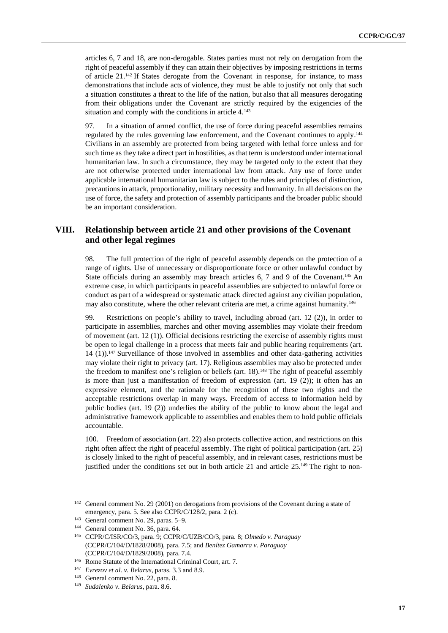articles 6, 7 and 18, are non-derogable. States parties must not rely on derogation from the right of peaceful assembly if they can attain their objectives by imposing restrictions in terms of article 21.<sup>142</sup> If States derogate from the Covenant in response, for instance, to mass demonstrations that include acts of violence, they must be able to justify not only that such a situation constitutes a threat to the life of the nation, but also that all measures derogating from their obligations under the Covenant are strictly required by the exigencies of the situation and comply with the conditions in article 4.<sup>143</sup>

97. In a situation of armed conflict, the use of force during peaceful assemblies remains regulated by the rules governing law enforcement, and the Covenant continues to apply. 144 Civilians in an assembly are protected from being targeted with lethal force unless and for such time as they take a direct part in hostilities, as that term is understood under international humanitarian law. In such a circumstance, they may be targeted only to the extent that they are not otherwise protected under international law from attack. Any use of force under applicable international humanitarian law is subject to the rules and principles of distinction, precautions in attack, proportionality, military necessity and humanity. In all decisions on the use of force, the safety and protection of assembly participants and the broader public should be an important consideration.

#### **VIII. Relationship between article 21 and other provisions of the Covenant and other legal regimes**

98. The full protection of the right of peaceful assembly depends on the protection of a range of rights. Use of unnecessary or disproportionate force or other unlawful conduct by State officials during an assembly may breach articles 6, 7 and 9 of the Covenant.<sup>145</sup> An extreme case, in which participants in peaceful assemblies are subjected to unlawful force or conduct as part of a widespread or systematic attack directed against any civilian population, may also constitute, where the other relevant criteria are met, a crime against humanity.<sup>146</sup>

99. Restrictions on people's ability to travel, including abroad (art. 12 (2)), in order to participate in assemblies, marches and other moving assemblies may violate their freedom of movement (art. 12 (1)). Official decisions restricting the exercise of assembly rights must be open to legal challenge in a process that meets fair and public hearing requirements (art. 14 (1)).<sup>147</sup> Surveillance of those involved in assemblies and other data-gathering activities may violate their right to privacy (art. 17). Religious assemblies may also be protected under the freedom to manifest one's religion or beliefs (art. 18).<sup>148</sup> The right of peaceful assembly is more than just a manifestation of freedom of expression (art. 19 (2)); it often has an expressive element, and the rationale for the recognition of these two rights and the acceptable restrictions overlap in many ways. Freedom of access to information held by public bodies (art. 19 (2)) underlies the ability of the public to know about the legal and administrative framework applicable to assemblies and enables them to hold public officials accountable.

100. Freedom of association (art. 22) also protects collective action, and restrictions on this right often affect the right of peaceful assembly. The right of political participation (art. 25) is closely linked to the right of peaceful assembly, and in relevant cases, restrictions must be justified under the conditions set out in both article  $21$  and article  $25.^{149}$  The right to non-

<sup>&</sup>lt;sup>142</sup> General comment No. 29 (2001) on derogations from provisions of the Covenant during a state of emergency, para. 5. See also CCPR/C/128/2, para. 2 (c).

<sup>143</sup> General comment No. 29, paras. 5–9.

<sup>144</sup> General comment No. 36, para. 64.

<sup>145</sup> CCPR/C/ISR/CO/3, para. 9; CCPR/C/UZB/CO/3, para. 8; *Olmedo v. Paraguay* (CCPR/C/104/D/1828/2008), para. 7.5; and *Benítez Gamarra v. Paraguay* (CCPR/C/104/D/1829/2008), para. 7.4.

<sup>146</sup> Rome Statute of the International Criminal Court, art. 7.

<sup>147</sup> *Evrezov et al. v. Belarus*, paras. 3.3 and 8.9.

<sup>&</sup>lt;sup>148</sup> General comment No. 22, para. 8.

<sup>149</sup> *Sudalenko v. Belarus*, para. 8.6.